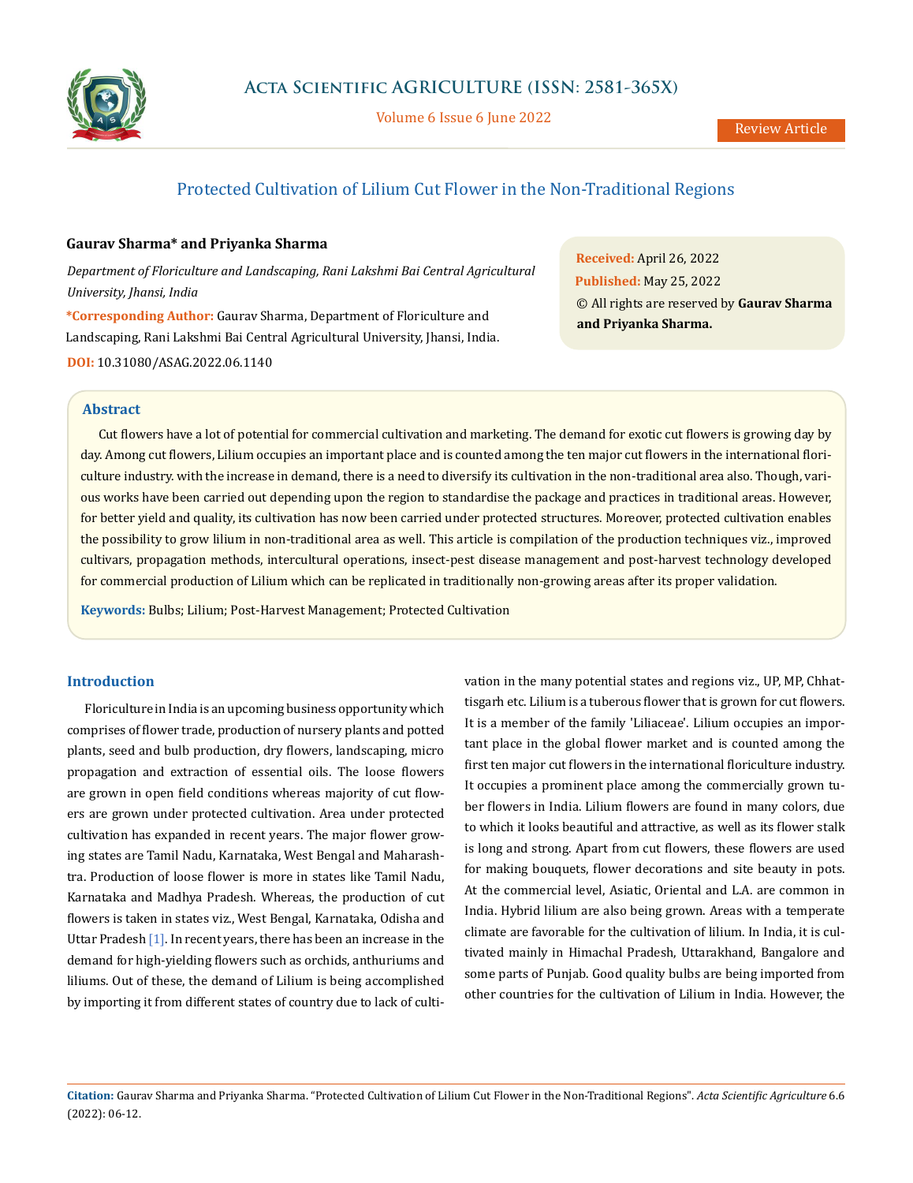

Volume 6 Issue 6 June 2022

# Protected Cultivation of Lilium Cut Flower in the Non-Traditional Regions

## **Gaurav Sharma\* and Priyanka Sharma**

*Department of Floriculture and Landscaping, Rani Lakshmi Bai Central Agricultural University, Jhansi, India*

**\*Corresponding Author:** Gaurav Sharma, Department of Floriculture and Landscaping, Rani Lakshmi Bai Central Agricultural University, Jhansi, India.

**DOI:** [10.31080/ASAG.2022.06.1140](https://actascientific.com/ASAG/pdf/ASAG-06-1140.pdf)

**Received:** April 26, 2022 **Published:** May 25, 2022 © All rights are reserved by **Gaurav Sharma and Priyanka Sharma.**

## **Abstract**

Cut flowers have a lot of potential for commercial cultivation and marketing. The demand for exotic cut flowers is growing day by day. Among cut flowers, Lilium occupies an important place and is counted among the ten major cut flowers in the international floriculture industry. with the increase in demand, there is a need to diversify its cultivation in the non-traditional area also. Though, various works have been carried out depending upon the region to standardise the package and practices in traditional areas. However, for better yield and quality, its cultivation has now been carried under protected structures. Moreover, protected cultivation enables the possibility to grow lilium in non-traditional area as well. This article is compilation of the production techniques viz., improved cultivars, propagation methods, intercultural operations, insect-pest disease management and post-harvest technology developed for commercial production of Lilium which can be replicated in traditionally non-growing areas after its proper validation.

**Keywords:** Bulbs; Lilium; Post-Harvest Management; Protected Cultivation

# **Introduction**

Floriculture in India is an upcoming business opportunity which comprises of flower trade, production of nursery plants and potted plants, seed and bulb production, dry flowers, landscaping, micro propagation and extraction of essential oils. The loose flowers are grown in open field conditions whereas majority of cut flowers are grown under protected cultivation. Area under protected cultivation has expanded in recent years. The major flower growing states are Tamil Nadu, Karnataka, West Bengal and Maharashtra. Production of loose flower is more in states like Tamil Nadu, Karnataka and Madhya Pradesh. Whereas, the production of cut flowers is taken in states viz., West Bengal, Karnataka, Odisha and Uttar Pradesh [1]. In recent years, there has been an increase in the demand for high-yielding flowers such as orchids, anthuriums and liliums. Out of these, the demand of Lilium is being accomplished by importing it from different states of country due to lack of culti-

vation in the many potential states and regions viz., UP, MP, Chhattisgarh etc. Lilium is a tuberous flower that is grown for cut flowers. It is a member of the family 'Liliaceae'. Lilium occupies an important place in the global flower market and is counted among the first ten major cut flowers in the international floriculture industry. It occupies a prominent place among the commercially grown tuber flowers in India. Lilium flowers are found in many colors, due to which it looks beautiful and attractive, as well as its flower stalk is long and strong. Apart from cut flowers, these flowers are used for making bouquets, flower decorations and site beauty in pots. At the commercial level, Asiatic, Oriental and L.A. are common in India. Hybrid lilium are also being grown. Areas with a temperate climate are favorable for the cultivation of lilium. In India, it is cultivated mainly in Himachal Pradesh, Uttarakhand, Bangalore and some parts of Punjab. Good quality bulbs are being imported from other countries for the cultivation of Lilium in India. However, the

**Citation:** Gaurav Sharma and Priyanka Sharma. "Protected Cultivation of Lilium Cut Flower in the Non-Traditional Regions". *Acta Scientific Agriculture* 6.6 (2022): 06-12.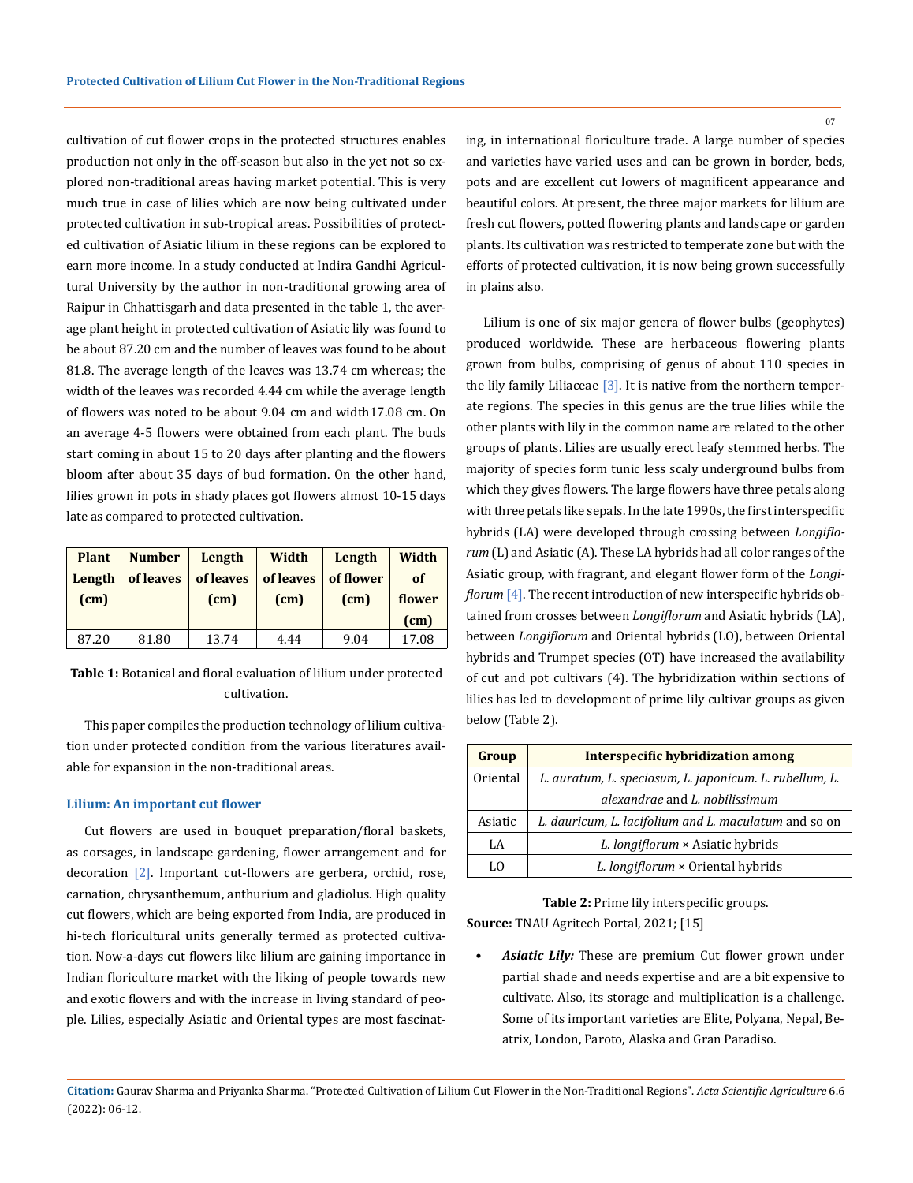cultivation of cut flower crops in the protected structures enables production not only in the off-season but also in the yet not so explored non-traditional areas having market potential. This is very much true in case of lilies which are now being cultivated under protected cultivation in sub-tropical areas. Possibilities of protected cultivation of Asiatic lilium in these regions can be explored to earn more income. In a study conducted at Indira Gandhi Agricultural University by the author in non-traditional growing area of Raipur in Chhattisgarh and data presented in the table 1, the average plant height in protected cultivation of Asiatic lily was found to be about 87.20 cm and the number of leaves was found to be about 81.8. The average length of the leaves was 13.74 cm whereas; the width of the leaves was recorded 4.44 cm while the average length of flowers was noted to be about 9.04 cm and width17.08 cm. On an average 4-5 flowers were obtained from each plant. The buds start coming in about 15 to 20 days after planting and the flowers bloom after about 35 days of bud formation. On the other hand, lilies grown in pots in shady places got flowers almost 10-15 days late as compared to protected cultivation.

| <b>Plant</b><br>Length | <b>Number</b><br>of leaves | Length<br>of leaves | Width<br>of leaves | Length<br>of flower | Width<br>of |
|------------------------|----------------------------|---------------------|--------------------|---------------------|-------------|
| (cm)                   |                            | (cm)                | (cm)               | (cm)                | flower      |
|                        |                            |                     |                    |                     | (cm)        |
| 87.20                  | 81.80                      | 13.74               | 4.44               | 9.04                | 17.08       |

**Table 1:** Botanical and floral evaluation of lilium under protected cultivation.

This paper compiles the production technology of lilium cultiva-<br>below (Table 2). tion under protected condition from the various literatures available for expansion in the non-traditional areas.

## **Lilium: An important cut flower**

Cut flowers are used in bouquet preparation/floral baskets, as corsages, in landscape gardening, flower arrangement and for decoration [2]. Important cut-flowers are gerbera, orchid, rose, carnation, chrysanthemum, anthurium and gladiolus. High quality cut flowers, which are being exported from India, are produced in hi-tech floricultural units generally termed as protected cultivation. Now-a-days cut flowers like lilium are gaining importance in Indian floriculture market with the liking of people towards new and exotic flowers and with the increase in living standard of people. Lilies, especially Asiatic and Oriental types are most fascinating, in international floriculture trade. A large number of species and varieties have varied uses and can be grown in border, beds, pots and are excellent cut lowers of magnificent appearance and beautiful colors. At present, the three major markets for lilium are fresh cut flowers, potted flowering plants and landscape or garden plants. Its cultivation was restricted to temperate zone but with the efforts of protected cultivation, it is now being grown successfully in plains also.

Lilium is one of six major genera of flower bulbs (geophytes) produced worldwide. These are herbaceous flowering plants grown from bulbs, comprising of genus of about 110 species in the lily family Liliaceae [3]. It is native from the northern temperate regions. The species in this genus are the true lilies while the other plants with lily in the common name are related to the other groups of plants. Lilies are usually erect leafy stemmed herbs. The majority of species form tunic less scaly underground bulbs from which they gives flowers. The large flowers have three petals along with three petals like sepals. In the late 1990s, the first interspecific hybrids (LA) were developed through crossing between *Longiflorum* (L) and Asiatic (A). These LA hybrids had all color ranges of the Asiatic group, with fragrant, and elegant flower form of the *Longiflorum* [4]. The recent introduction of new interspecific hybrids obtained from crosses between *Longiflorum* and Asiatic hybrids (LA), between *Longiflorum* and Oriental hybrids (LO), between Oriental hybrids and Trumpet species (OT) have increased the availability of cut and pot cultivars (4). The hybridization within sections of lilies has led to development of prime lily cultivar groups as given

| Group    | Interspecific hybridization among                       |  |
|----------|---------------------------------------------------------|--|
| Oriental | L. auratum, L. speciosum, L. japonicum. L. rubellum, L. |  |
|          | alexandrae and L. nobilissimum                          |  |
| Asiatic  | L. dauricum, L. lacifolium and L. maculatum and so on   |  |
| LA       | L. longiflorum × Asiatic hybrids                        |  |
| l .( )   | L. longiflorum × Oriental hybrids                       |  |

**Table 2:** Prime lily interspecific groups. **Source:** TNAU Agritech Portal, 2021; [15]

*• Asiatic Lily:* These are premium Cut flower grown under partial shade and needs expertise and are a bit expensive to cultivate. Also, its storage and multiplication is a challenge. Some of its important varieties are Elite, Polyana, Nepal, Beatrix, London, Paroto, Alaska and Gran Paradiso.

**Citation:** Gaurav Sharma and Priyanka Sharma. "Protected Cultivation of Lilium Cut Flower in the Non-Traditional Regions". *Acta Scientific Agriculture* 6.6 (2022): 06-12.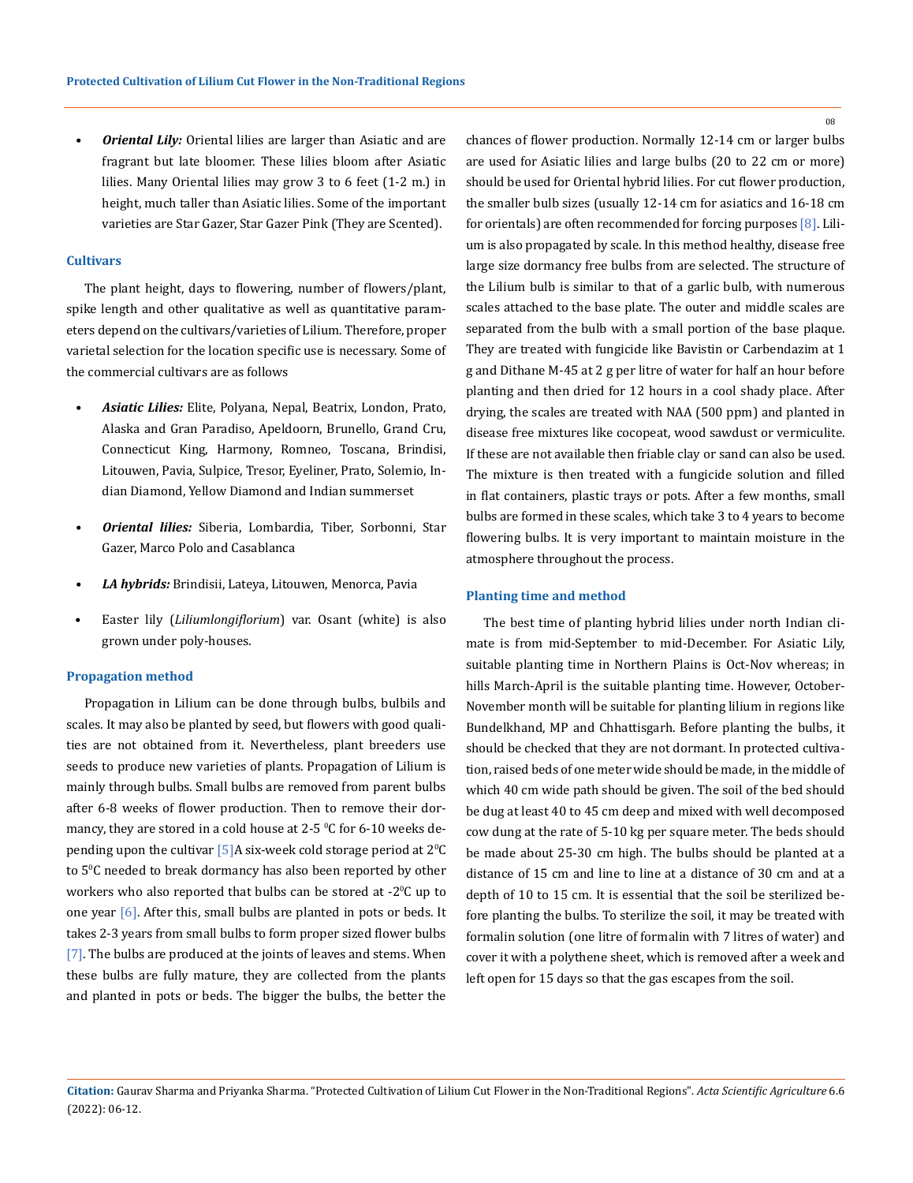*Oriental Lily:* Oriental lilies are larger than Asiatic and are fragrant but late bloomer. These lilies bloom after Asiatic lilies. Many Oriental lilies may grow 3 to 6 feet (1-2 m.) in height, much taller than Asiatic lilies. Some of the important varieties are Star Gazer, Star Gazer Pink (They are Scented).

## **Cultivars**

The plant height, days to flowering, number of flowers/plant, spike length and other qualitative as well as quantitative parameters depend on the cultivars/varieties of Lilium. Therefore, proper varietal selection for the location specific use is necessary. Some of the commercial cultivars are as follows

- *• Asiatic Lilies:* Elite, Polyana, Nepal, Beatrix, London, Prato, Alaska and Gran Paradiso, Apeldoorn, Brunello, Grand Cru, Connecticut King, Harmony, Romneo, Toscana, Brindisi, Litouwen, Pavia, Sulpice, Tresor, Eyeliner, Prato, Solemio, Indian Diamond, Yellow Diamond and Indian summerset
- *• Oriental lilies:* Siberia, Lombardia, Tiber, Sorbonni, Star Gazer, Marco Polo and Casablanca
- *• LA hybrids:* Brindisii, Lateya, Litouwen, Menorca, Pavia
- Easter lily (*Liliumlongiflorium*) var. Osant (white) is also grown under poly-houses.

#### **Propagation method**

Propagation in Lilium can be done through bulbs, bulbils and scales. It may also be planted by seed, but flowers with good qualities are not obtained from it. Nevertheless, plant breeders use seeds to produce new varieties of plants. Propagation of Lilium is mainly through bulbs. Small bulbs are removed from parent bulbs after 6-8 weeks of flower production. Then to remove their dormancy, they are stored in a cold house at 2-5  $\mathrm{^0C}$  for 6-10 weeks depending upon the cultivar [5]A six-week cold storage period at  $2^{\circ}$ C to 5ºC needed to break dormancy has also been reported by other workers who also reported that bulbs can be stored at -2<sup>0</sup> C up to one year [6]. After this, small bulbs are planted in pots or beds. It takes 2-3 years from small bulbs to form proper sized flower bulbs [7]. The bulbs are produced at the joints of leaves and stems. When these bulbs are fully mature, they are collected from the plants and planted in pots or beds. The bigger the bulbs, the better the

chances of flower production. Normally 12-14 cm or larger bulbs are used for Asiatic lilies and large bulbs (20 to 22 cm or more) should be used for Oriental hybrid lilies. For cut flower production, the smaller bulb sizes (usually 12-14 cm for asiatics and 16-18 cm for orientals) are often recommended for forcing purposes [8]. Lilium is also propagated by scale. In this method healthy, disease free large size dormancy free bulbs from are selected. The structure of the Lilium bulb is similar to that of a garlic bulb, with numerous scales attached to the base plate. The outer and middle scales are separated from the bulb with a small portion of the base plaque. They are treated with fungicide like Bavistin or Carbendazim at 1 g and Dithane M-45 at 2 g per litre of water for half an hour before planting and then dried for 12 hours in a cool shady place. After drying, the scales are treated with NAA (500 ppm) and planted in disease free mixtures like cocopeat, wood sawdust or vermiculite. If these are not available then friable clay or sand can also be used. The mixture is then treated with a fungicide solution and filled in flat containers, plastic trays or pots. After a few months, small bulbs are formed in these scales, which take 3 to 4 years to become flowering bulbs. It is very important to maintain moisture in the atmosphere throughout the process.

#### **Planting time and method**

The best time of planting hybrid lilies under north Indian climate is from mid-September to mid-December. For Asiatic Lily, suitable planting time in Northern Plains is Oct-Nov whereas; in hills March-April is the suitable planting time. However, October-November month will be suitable for planting lilium in regions like Bundelkhand, MP and Chhattisgarh. Before planting the bulbs, it should be checked that they are not dormant. In protected cultivation, raised beds of one meter wide should be made, in the middle of which 40 cm wide path should be given. The soil of the bed should be dug at least 40 to 45 cm deep and mixed with well decomposed cow dung at the rate of 5-10 kg per square meter. The beds should be made about 25-30 cm high. The bulbs should be planted at a distance of 15 cm and line to line at a distance of 30 cm and at a depth of 10 to 15 cm. It is essential that the soil be sterilized before planting the bulbs. To sterilize the soil, it may be treated with formalin solution (one litre of formalin with 7 litres of water) and cover it with a polythene sheet, which is removed after a week and left open for 15 days so that the gas escapes from the soil.

**Citation:** Gaurav Sharma and Priyanka Sharma. "Protected Cultivation of Lilium Cut Flower in the Non-Traditional Regions". *Acta Scientific Agriculture* 6.6 (2022): 06-12.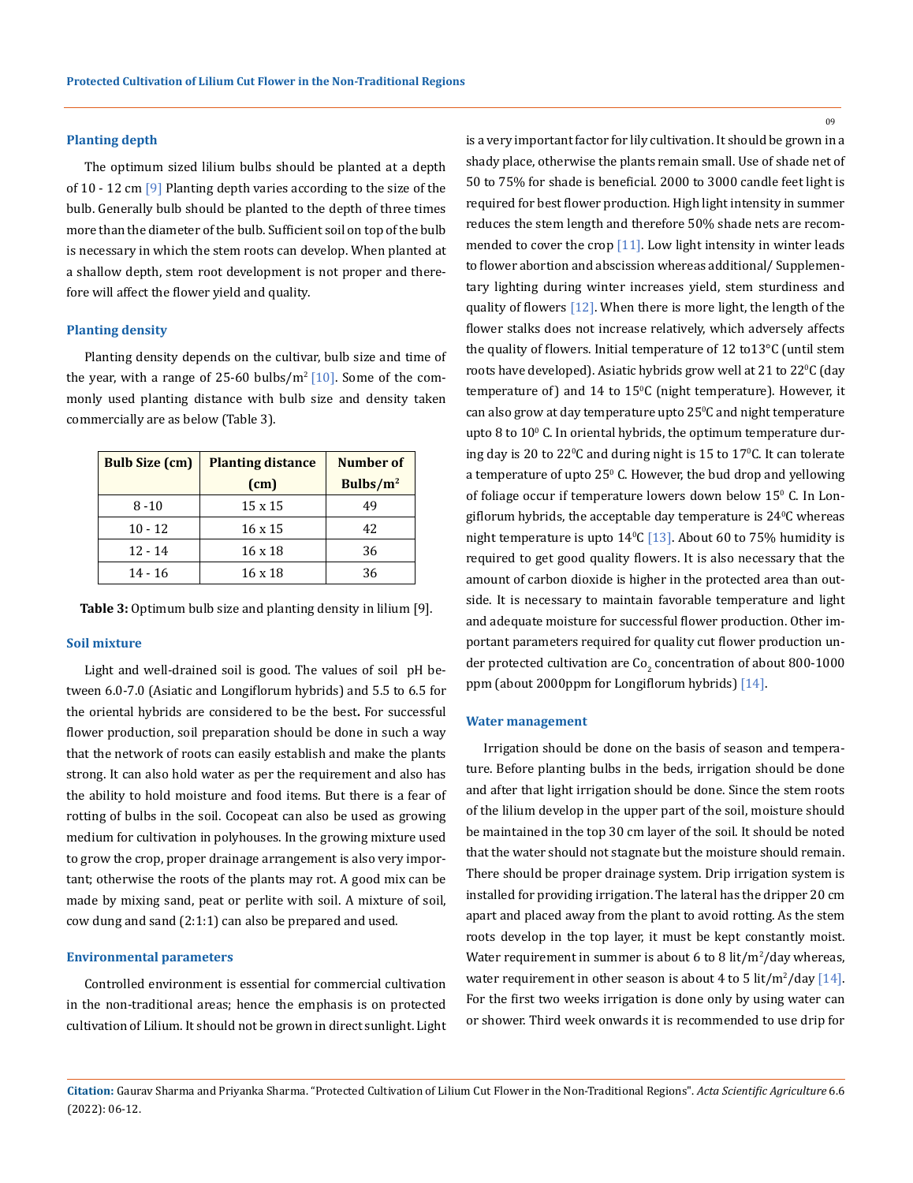#### **Planting depth**

The optimum sized lilium bulbs should be planted at a depth of  $10 - 12$  cm  $\boxed{9}$  Planting depth varies according to the size of the bulb. Generally bulb should be planted to the depth of three times more than the diameter of the bulb. Sufficient soil on top of the bulb is necessary in which the stem roots can develop. When planted at a shallow depth, stem root development is not proper and therefore will affect the flower yield and quality.

#### **Planting density**

Planting density depends on the cultivar, bulb size and time of the year, with a range of 25-60 bulbs/ $m^2$  [10]. Some of the commonly used planting distance with bulb size and density taken commercially are as below (Table 3).

| <b>Bulb Size (cm)</b> | <b>Planting distance</b> | Number of    |
|-----------------------|--------------------------|--------------|
|                       | (cm)                     | Bulbs/ $m^2$ |
| $8 - 10$              | 15 x 15                  | 49           |
| $10 - 12$             | $16 \times 15$           | 42           |
| $12 - 14$             | $16 \times 18$           | 36           |
| 14 - 16               | $16 \times 18$           | 36           |

**Table 3:** Optimum bulb size and planting density in lilium [9].

## **Soil mixture**

Light and well-drained soil is good. The values of soil pH between 6.0-7.0 (Asiatic and Longiflorum hybrids) and 5.5 to 6.5 for the oriental hybrids are considered to be the best**.** For successful flower production, soil preparation should be done in such a way that the network of roots can easily establish and make the plants strong. It can also hold water as per the requirement and also has the ability to hold moisture and food items. But there is a fear of rotting of bulbs in the soil. Cocopeat can also be used as growing medium for cultivation in polyhouses. In the growing mixture used to grow the crop, proper drainage arrangement is also very important; otherwise the roots of the plants may rot. A good mix can be made by mixing sand, peat or perlite with soil. A mixture of soil, cow dung and sand (2:1:1) can also be prepared and used.

#### **Environmental parameters**

Controlled environment is essential for commercial cultivation in the non-traditional areas; hence the emphasis is on protected cultivation of Lilium. It should not be grown in direct sunlight. Light is a very important factor for lily cultivation. It should be grown in a shady place, otherwise the plants remain small. Use of shade net of 50 to 75% for shade is beneficial. 2000 to 3000 candle feet light is required for best flower production. High light intensity in summer reduces the stem length and therefore 50% shade nets are recommended to cover the crop  $[11]$ . Low light intensity in winter leads to flower abortion and abscission whereas additional/ Supplementary lighting during winter increases yield, stem sturdiness and quality of flowers [12]. When there is more light, the length of the flower stalks does not increase relatively, which adversely affects the quality of flowers. Initial temperature of 12 to13°C (until stem roots have developed). Asiatic hybrids grow well at 21 to 22°C (day temperature of) and 14 to 15°C (night temperature). However, it can also grow at day temperature upto 25ºC and night temperature upto  $8$  to  $10^{\circ}$  C. In oriental hybrids, the optimum temperature during day is 20 to 22 °C and during night is 15 to 17 °C. It can tolerate a temperature of upto 25 $^{\rm o}$  C. However, the bud drop and yellowing of foliage occur if temperature lowers down below 15° C. In Longiflorum hybrids, the acceptable day temperature is  $24^{\circ}$ C whereas night temperature is upto  $14^{\circ}$ C [13]. About 60 to 75% humidity is required to get good quality flowers. It is also necessary that the amount of carbon dioxide is higher in the protected area than outside. It is necessary to maintain favorable temperature and light and adequate moisture for successful flower production. Other important parameters required for quality cut flower production under protected cultivation are Co $_2$  concentration of about 800-1000  $^\circ$ ppm (about 2000ppm for Longiflorum hybrids) [14].

#### **Water management**

Irrigation should be done on the basis of season and temperature. Before planting bulbs in the beds, irrigation should be done and after that light irrigation should be done. Since the stem roots of the lilium develop in the upper part of the soil, moisture should be maintained in the top 30 cm layer of the soil. It should be noted that the water should not stagnate but the moisture should remain. There should be proper drainage system. Drip irrigation system is installed for providing irrigation. The lateral has the dripper 20 cm apart and placed away from the plant to avoid rotting. As the stem roots develop in the top layer, it must be kept constantly moist. Water requirement in summer is about 6 to 8  $\frac{\text{lit}}{\text{m}^2/\text{day}}$  whereas, water requirement in other season is about 4 to 5  $\frac{\text{lit}}{\text{m}^2/\text{day}}$  [14]. For the first two weeks irrigation is done only by using water can or shower. Third week onwards it is recommended to use drip for

**Citation:** Gaurav Sharma and Priyanka Sharma. "Protected Cultivation of Lilium Cut Flower in the Non-Traditional Regions". *Acta Scientific Agriculture* 6.6 (2022): 06-12.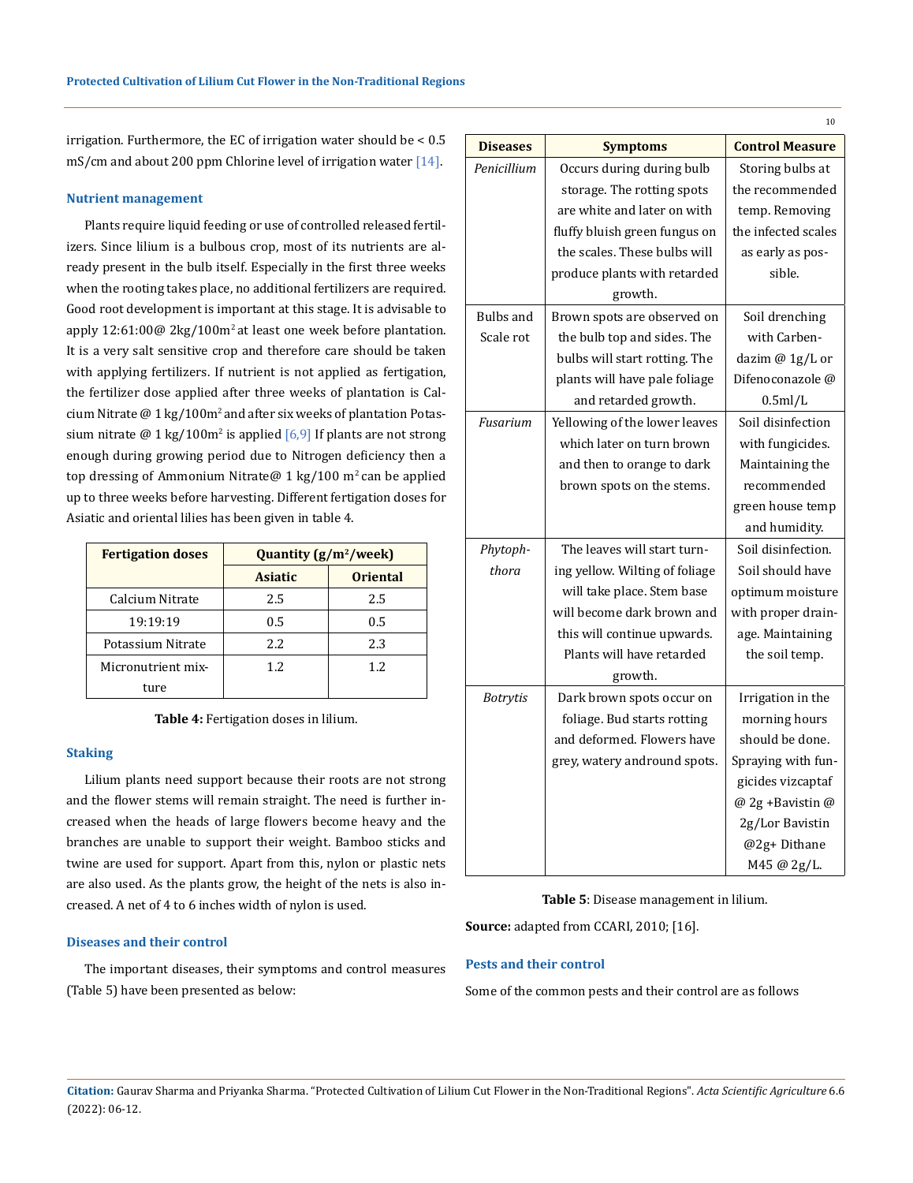irrigation. Furthermore, the EC of irrigation water should be < 0.5 mS/cm and about 200 ppm Chlorine level of irrigation water [14].

## **Nutrient management**

Plants require liquid feeding or use of controlled released fertilizers. Since lilium is a bulbous crop, most of its nutrients are already present in the bulb itself. Especially in the first three weeks when the rooting takes place, no additional fertilizers are required. Good root development is important at this stage. It is advisable to apply  $12:61:00@$   $2kg/100m<sup>2</sup>$  at least one week before plantation. It is a very salt sensitive crop and therefore care should be taken with applying fertilizers. If nutrient is not applied as fertigation, the fertilizer dose applied after three weeks of plantation is Calcium Nitrate  $@1$  kg/100m<sup>2</sup> and after six weeks of plantation Potassium nitrate @ 1 kg/100m<sup>2</sup> is applied  $[6,9]$  If plants are not strong enough during growing period due to Nitrogen deficiency then a top dressing of Ammonium Nitrate@ 1 kg/100 m<sup>2</sup> can be applied up to three weeks before harvesting. Different fertigation doses for Asiatic and oriental lilies has been given in table 4.

| <b>Fertigation doses</b> | Quantity (g/m <sup>2</sup> /week) |                 |  |
|--------------------------|-----------------------------------|-----------------|--|
|                          | <b>Asiatic</b>                    | <b>Oriental</b> |  |
| Calcium Nitrate          | 2.5                               | 2.5             |  |
| 19:19:19                 | 0.5                               | 0.5             |  |
| Potassium Nitrate        | 2.2.                              | 2.3             |  |
| Micronutrient mix-       | 1.2.                              | 1.2.            |  |
| ture                     |                                   |                 |  |

**Table 4:** Fertigation doses in lilium.

## **Staking**

Lilium plants need support because their roots are not strong and the flower stems will remain straight. The need is further increased when the heads of large flowers become heavy and the branches are unable to support their weight. Bamboo sticks and twine are used for support. Apart from this, nylon or plastic nets are also used. As the plants grow, the height of the nets is also increased. A net of 4 to 6 inches width of nylon is used.

## **Diseases and their control**

The important diseases, their symptoms and control measures (Table 5) have been presented as below:

|                  |                                | 10                     |
|------------------|--------------------------------|------------------------|
| <b>Diseases</b>  | <b>Symptoms</b>                | <b>Control Measure</b> |
| Penicillium      | Occurs during during bulb      | Storing bulbs at       |
|                  | storage. The rotting spots     | the recommended        |
|                  | are white and later on with    | temp. Removing         |
|                  | fluffy bluish green fungus on  | the infected scales    |
|                  | the scales. These bulbs will   | as early as pos-       |
|                  | produce plants with retarded   | sible.                 |
|                  | growth.                        |                        |
| <b>Bulbs</b> and | Brown spots are observed on    | Soil drenching         |
| Scale rot        | the bulb top and sides. The    | with Carben-           |
|                  | bulbs will start rotting. The  | dazim @ 1g/L or        |
|                  | plants will have pale foliage  | Difenoconazole @       |
|                  | and retarded growth.           | 0.5ml/L                |
| Fusarium         | Yellowing of the lower leaves  | Soil disinfection      |
|                  | which later on turn brown      | with fungicides.       |
|                  | and then to orange to dark     | Maintaining the        |
|                  | brown spots on the stems.      | recommended            |
|                  |                                | green house temp       |
|                  |                                | and humidity.          |
| Phytoph-         | The leaves will start turn-    | Soil disinfection.     |
| thora            | ing yellow. Wilting of foliage | Soil should have       |
|                  | will take place. Stem base     | optimum moisture       |
|                  | will become dark brown and     | with proper drain-     |
|                  | this will continue upwards.    | age. Maintaining       |
|                  | Plants will have retarded      | the soil temp.         |
|                  | growth.                        |                        |
| <b>Botrytis</b>  | Dark brown spots occur on      | Irrigation in the      |
|                  | foliage. Bud starts rotting    | morning hours          |
|                  | and deformed. Flowers have     | should be done.        |
|                  | grey, watery andround spots.   | Spraying with fun-     |
|                  |                                | gicides vizcaptaf      |
|                  |                                | @ 2g +Bavistin @       |
|                  |                                | 2g/Lor Bavistin        |
|                  |                                | @2g+Dithane            |
|                  |                                | M45 @ 2g/L.            |

**Table 5**: Disease management in lilium.

**Source:** adapted from CCARI, 2010; [16].

## **Pests and their control**

Some of the common pests and their control are as follows

**Citation:** Gaurav Sharma and Priyanka Sharma. "Protected Cultivation of Lilium Cut Flower in the Non-Traditional Regions". *Acta Scientific Agriculture* 6.6 (2022): 06-12.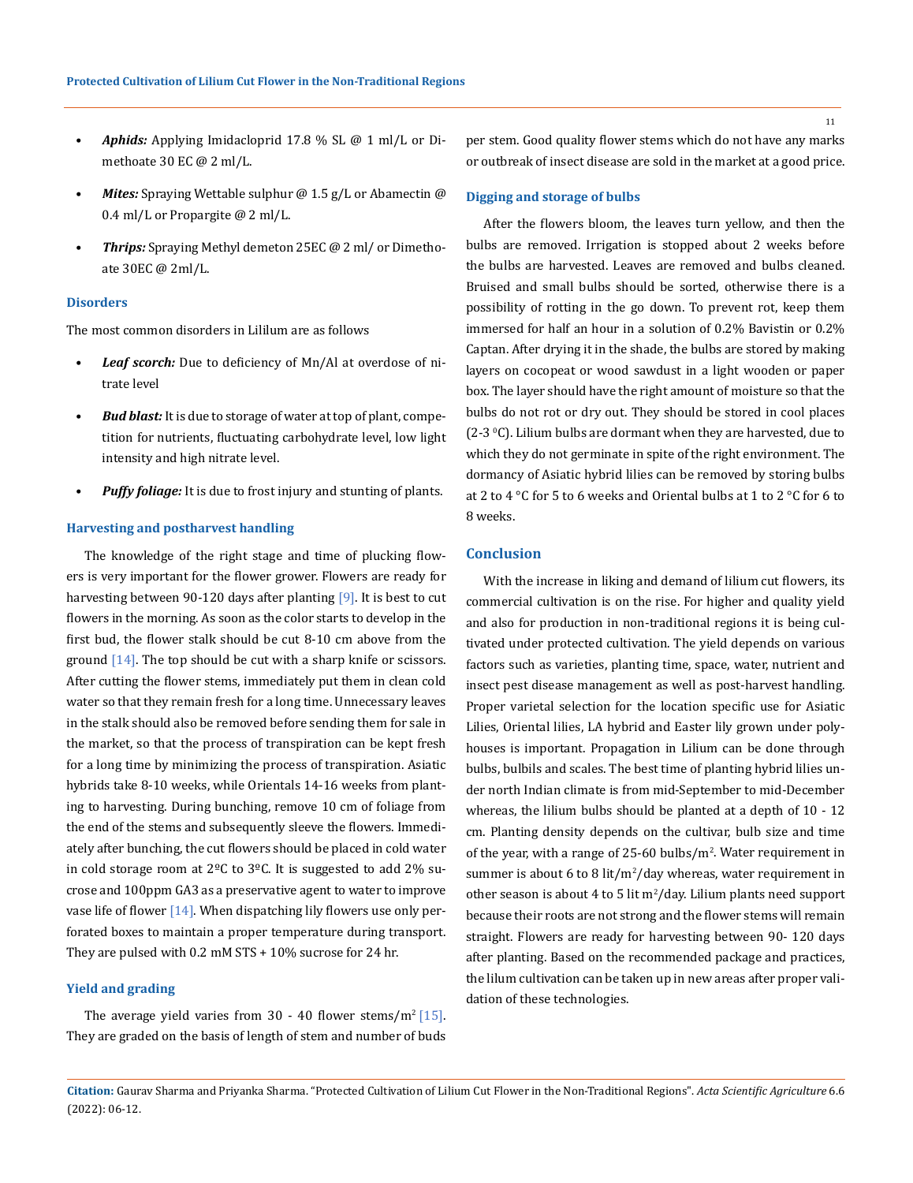- *• Aphids:* Applying Imidacloprid 17.8 % SL @ 1 ml/L or Dimethoate 30 EC @ 2 ml/L.
- *Mites:* Spraying Wettable sulphur @ 1.5 g/L or Abamectin @ 0.4 ml/L or Propargite @ 2 ml/L.
- *• Thrips:* Spraying Methyl demeton 25EC @ 2 ml/ or Dimethoate 30EC @ 2ml/L.

## **Disorders**

The most common disorders in Lililum are as follows

- *• Leaf scorch:* Due to deficiency of Mn/Al at overdose of nitrate level
- *• Bud blast:* It is due to storage of water at top of plant, competition for nutrients, fluctuating carbohydrate level, low light intensity and high nitrate level.
- *• Puffy foliage:* It is due to frost injury and stunting of plants.

#### **Harvesting and postharvest handling**

The knowledge of the right stage and time of plucking flowers is very important for the flower grower. Flowers are ready for harvesting between 90-120 days after planting [9]. It is best to cut flowers in the morning. As soon as the color starts to develop in the first bud, the flower stalk should be cut 8-10 cm above from the ground [14]. The top should be cut with a sharp knife or scissors. After cutting the flower stems, immediately put them in clean cold water so that they remain fresh for a long time. Unnecessary leaves in the stalk should also be removed before sending them for sale in the market, so that the process of transpiration can be kept fresh for a long time by minimizing the process of transpiration. Asiatic hybrids take 8-10 weeks, while Orientals 14-16 weeks from planting to harvesting. During bunching, remove 10 cm of foliage from the end of the stems and subsequently sleeve the flowers. Immediately after bunching, the cut flowers should be placed in cold water in cold storage room at  $2^{\circ}$ C to  $3^{\circ}$ C. It is suggested to add  $2\%$  sucrose and 100ppm GA3 as a preservative agent to water to improve vase life of flower  $[14]$ . When dispatching lily flowers use only perforated boxes to maintain a proper temperature during transport. They are pulsed with 0.2 mM STS + 10% sucrose for 24 hr.

#### **Yield and grading**

The average yield varies from 30 - 40 flower stems/m<sup>2</sup> [15]. They are graded on the basis of length of stem and number of buds per stem. Good quality flower stems which do not have any marks or outbreak of insect disease are sold in the market at a good price.

## **Digging and storage of bulbs**

After the flowers bloom, the leaves turn yellow, and then the bulbs are removed. Irrigation is stopped about 2 weeks before the bulbs are harvested. Leaves are removed and bulbs cleaned. Bruised and small bulbs should be sorted, otherwise there is a possibility of rotting in the go down. To prevent rot, keep them immersed for half an hour in a solution of 0.2% Bavistin or 0.2% Captan. After drying it in the shade, the bulbs are stored by making layers on cocopeat or wood sawdust in a light wooden or paper box. The layer should have the right amount of moisture so that the bulbs do not rot or dry out. They should be stored in cool places  $(2-3 °C)$ . Lilium bulbs are dormant when they are harvested, due to which they do not germinate in spite of the right environment. The dormancy of Asiatic hybrid lilies can be removed by storing bulbs at 2 to 4 °C for 5 to 6 weeks and Oriental bulbs at 1 to 2 °C for 6 to 8 weeks.

## **Conclusion**

With the increase in liking and demand of lilium cut flowers, its commercial cultivation is on the rise. For higher and quality yield and also for production in non-traditional regions it is being cultivated under protected cultivation. The yield depends on various factors such as varieties, planting time, space, water, nutrient and insect pest disease management as well as post-harvest handling. Proper varietal selection for the location specific use for Asiatic Lilies, Oriental lilies, LA hybrid and Easter lily grown under polyhouses is important. Propagation in Lilium can be done through bulbs, bulbils and scales. The best time of planting hybrid lilies under north Indian climate is from mid-September to mid-December whereas, the lilium bulbs should be planted at a depth of 10 - 12 cm. Planting density depends on the cultivar, bulb size and time of the year, with a range of 25-60 bulbs/m<sup>2</sup> . Water requirement in summer is about 6 to 8 lit/m<sup>2</sup>/day whereas, water requirement in other season is about 4 to 5 lit  $m^2/d$ ay. Lilium plants need support because their roots are not strong and the flower stems will remain straight. Flowers are ready for harvesting between 90- 120 days after planting. Based on the recommended package and practices, the lilum cultivation can be taken up in new areas after proper validation of these technologies.

**Citation:** Gaurav Sharma and Priyanka Sharma. "Protected Cultivation of Lilium Cut Flower in the Non-Traditional Regions". *Acta Scientific Agriculture* 6.6 (2022): 06-12.